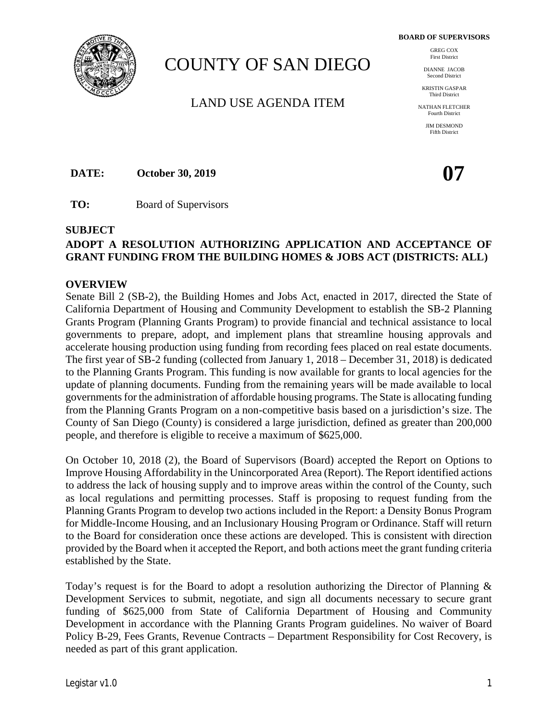**BOARD OF SUPERVISORS**



# COUNTY OF SAN DIEGO

LAND USE AGENDA ITEM

GREG COX First District

DIANNE JACOB Second District

KRISTIN GASPAR Third District

NATHAN FLETCHER Fourth District

> JIM DESMOND Fifth District

**DATE: October 30, 2019 07**

**TO:** Board of Supervisors

## **SUBJECT**

# **ADOPT A RESOLUTION AUTHORIZING APPLICATION AND ACCEPTANCE OF GRANT FUNDING FROM THE BUILDING HOMES & JOBS ACT (DISTRICTS: ALL)**

## **OVERVIEW**

Senate Bill 2 (SB-2), the Building Homes and Jobs Act, enacted in 2017, directed the State of California Department of Housing and Community Development to establish the SB-2 Planning Grants Program (Planning Grants Program) to provide financial and technical assistance to local governments to prepare, adopt, and implement plans that streamline housing approvals and accelerate housing production using funding from recording fees placed on real estate documents. The first year of SB-2 funding (collected from January 1, 2018 – December 31, 2018) is dedicated to the Planning Grants Program. This funding is now available for grants to local agencies for the update of planning documents. Funding from the remaining years will be made available to local governments for the administration of affordable housing programs. The State is allocating funding from the Planning Grants Program on a non-competitive basis based on a jurisdiction's size. The County of San Diego (County) is considered a large jurisdiction, defined as greater than 200,000 people, and therefore is eligible to receive a maximum of \$625,000.

On October 10, 2018 (2), the Board of Supervisors (Board) accepted the Report on Options to Improve Housing Affordability in the Unincorporated Area (Report). The Report identified actions to address the lack of housing supply and to improve areas within the control of the County, such as local regulations and permitting processes. Staff is proposing to request funding from the Planning Grants Program to develop two actions included in the Report: a Density Bonus Program for Middle-Income Housing, and an Inclusionary Housing Program or Ordinance. Staff will return to the Board for consideration once these actions are developed. This is consistent with direction provided by the Board when it accepted the Report, and both actions meet the grant funding criteria established by the State.

Today's request is for the Board to adopt a resolution authorizing the Director of Planning & Development Services to submit, negotiate, and sign all documents necessary to secure grant funding of \$625,000 from State of California Department of Housing and Community Development in accordance with the Planning Grants Program guidelines. No waiver of Board Policy B-29, Fees Grants, Revenue Contracts – Department Responsibility for Cost Recovery, is needed as part of this grant application.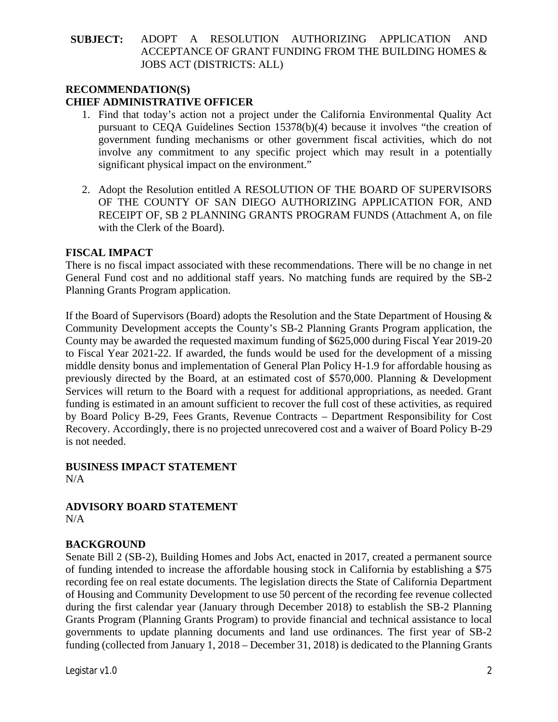## **RECOMMENDATION(S) CHIEF ADMINISTRATIVE OFFICER**

- 1. Find that today's action not a project under the California Environmental Quality Act pursuant to CEQA Guidelines Section 15378(b)(4) because it involves "the creation of government funding mechanisms or other government fiscal activities, which do not involve any commitment to any specific project which may result in a potentially significant physical impact on the environment."
- 2. Adopt the Resolution entitled A RESOLUTION OF THE BOARD OF SUPERVISORS OF THE COUNTY OF SAN DIEGO AUTHORIZING APPLICATION FOR, AND RECEIPT OF, SB 2 PLANNING GRANTS PROGRAM FUNDS (Attachment A, on file with the Clerk of the Board).

## **FISCAL IMPACT**

There is no fiscal impact associated with these recommendations. There will be no change in net General Fund cost and no additional staff years. No matching funds are required by the SB-2 Planning Grants Program application.

If the Board of Supervisors (Board) adopts the Resolution and the State Department of Housing  $\&$ Community Development accepts the County's SB-2 Planning Grants Program application, the County may be awarded the requested maximum funding of \$625,000 during Fiscal Year 2019-20 to Fiscal Year 2021-22. If awarded, the funds would be used for the development of a missing middle density bonus and implementation of General Plan Policy H-1.9 for affordable housing as previously directed by the Board, at an estimated cost of \$570,000. Planning & Development Services will return to the Board with a request for additional appropriations, as needed. Grant funding is estimated in an amount sufficient to recover the full cost of these activities, as required by Board Policy B-29, Fees Grants, Revenue Contracts – Department Responsibility for Cost Recovery. Accordingly, there is no projected unrecovered cost and a waiver of Board Policy B-29 is not needed.

## **BUSINESS IMPACT STATEMENT** N/A

**ADVISORY BOARD STATEMENT** N/A

# **BACKGROUND**

Senate Bill 2 (SB-2), Building Homes and Jobs Act, enacted in 2017, created a permanent source of funding intended to increase the affordable housing stock in California by establishing a \$75 recording fee on real estate documents. The legislation directs the State of California Department of Housing and Community Development to use 50 percent of the recording fee revenue collected during the first calendar year (January through December 2018) to establish the SB-2 Planning Grants Program (Planning Grants Program) to provide financial and technical assistance to local governments to update planning documents and land use ordinances. The first year of SB-2 funding (collected from January 1, 2018 – December 31, 2018) is dedicated to the Planning Grants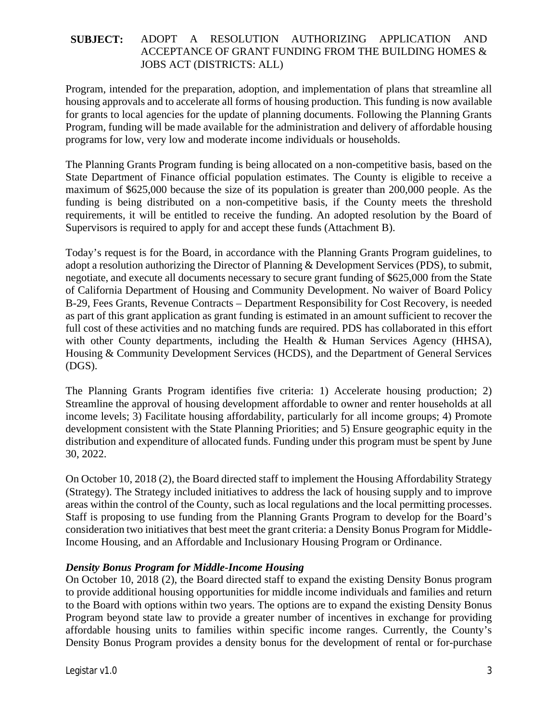Program, intended for the preparation, adoption, and implementation of plans that streamline all housing approvals and to accelerate all forms of housing production. This funding is now available for grants to local agencies for the update of planning documents. Following the Planning Grants Program, funding will be made available for the administration and delivery of affordable housing programs for low, very low and moderate income individuals or households.

The Planning Grants Program funding is being allocated on a non-competitive basis, based on the State Department of Finance official population estimates. The County is eligible to receive a maximum of \$625,000 because the size of its population is greater than 200,000 people. As the funding is being distributed on a non-competitive basis, if the County meets the threshold requirements, it will be entitled to receive the funding. An adopted resolution by the Board of Supervisors is required to apply for and accept these funds (Attachment B).

Today's request is for the Board, in accordance with the Planning Grants Program guidelines, to adopt a resolution authorizing the Director of Planning & Development Services (PDS), to submit, negotiate, and execute all documents necessary to secure grant funding of \$625,000 from the State of California Department of Housing and Community Development. No waiver of Board Policy B-29, Fees Grants, Revenue Contracts – Department Responsibility for Cost Recovery, is needed as part of this grant application as grant funding is estimated in an amount sufficient to recover the full cost of these activities and no matching funds are required. PDS has collaborated in this effort with other County departments, including the Health & Human Services Agency (HHSA), Housing & Community Development Services (HCDS), and the Department of General Services (DGS).

The Planning Grants Program identifies five criteria: 1) Accelerate housing production; 2) Streamline the approval of housing development affordable to owner and renter households at all income levels; 3) Facilitate housing affordability, particularly for all income groups; 4) Promote development consistent with the State Planning Priorities; and 5) Ensure geographic equity in the distribution and expenditure of allocated funds. Funding under this program must be spent by June 30, 2022.

On October 10, 2018 (2), the Board directed staff to implement the Housing Affordability Strategy (Strategy). The Strategy included initiatives to address the lack of housing supply and to improve areas within the control of the County, such as local regulations and the local permitting processes. Staff is proposing to use funding from the Planning Grants Program to develop for the Board's consideration two initiatives that best meet the grant criteria: a Density Bonus Program for Middle-Income Housing, and an Affordable and Inclusionary Housing Program or Ordinance.

## *Density Bonus Program for Middle-Income Housing*

On October 10, 2018 (2), the Board directed staff to expand the existing Density Bonus program to provide additional housing opportunities for middle income individuals and families and return to the Board with options within two years. The options are to expand the existing Density Bonus Program beyond state law to provide a greater number of incentives in exchange for providing affordable housing units to families within specific income ranges. Currently, the County's Density Bonus Program provides a density bonus for the development of rental or for-purchase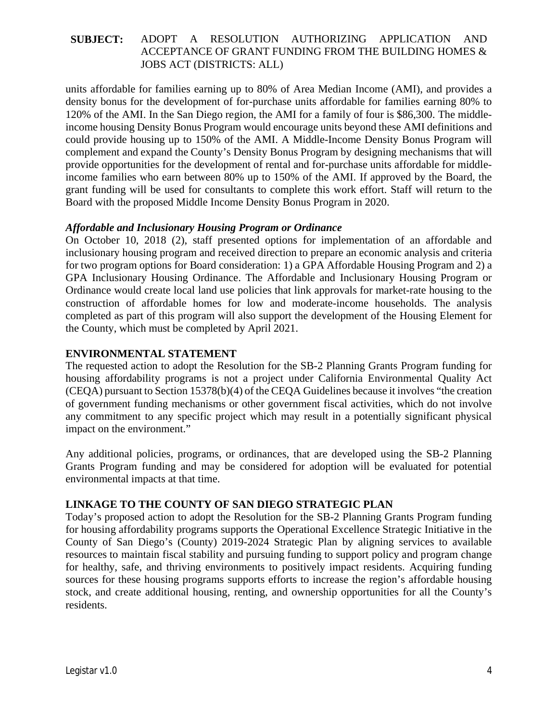units affordable for families earning up to 80% of Area Median Income (AMI), and provides a density bonus for the development of for-purchase units affordable for families earning 80% to 120% of the AMI. In the San Diego region, the AMI for a family of four is \$86,300. The middleincome housing Density Bonus Program would encourage units beyond these AMI definitions and could provide housing up to 150% of the AMI. A Middle-Income Density Bonus Program will complement and expand the County's Density Bonus Program by designing mechanisms that will provide opportunities for the development of rental and for-purchase units affordable for middleincome families who earn between 80% up to 150% of the AMI. If approved by the Board, the grant funding will be used for consultants to complete this work effort. Staff will return to the Board with the proposed Middle Income Density Bonus Program in 2020.

## *Affordable and Inclusionary Housing Program or Ordinance*

On October 10, 2018 (2), staff presented options for implementation of an affordable and inclusionary housing program and received direction to prepare an economic analysis and criteria for two program options for Board consideration: 1) a GPA Affordable Housing Program and 2) a GPA Inclusionary Housing Ordinance. The Affordable and Inclusionary Housing Program or Ordinance would create local land use policies that link approvals for market-rate housing to the construction of affordable homes for low and moderate-income households. The analysis completed as part of this program will also support the development of the Housing Element for the County, which must be completed by April 2021.

## **ENVIRONMENTAL STATEMENT**

The requested action to adopt the Resolution for the SB-2 Planning Grants Program funding for housing affordability programs is not a project under California Environmental Quality Act (CEQA) pursuant to Section 15378(b)(4) of the CEQA Guidelines because it involves "the creation of government funding mechanisms or other government fiscal activities, which do not involve any commitment to any specific project which may result in a potentially significant physical impact on the environment."

Any additional policies, programs, or ordinances, that are developed using the SB-2 Planning Grants Program funding and may be considered for adoption will be evaluated for potential environmental impacts at that time.

## **LINKAGE TO THE COUNTY OF SAN DIEGO STRATEGIC PLAN**

Today's proposed action to adopt the Resolution for the SB-2 Planning Grants Program funding for housing affordability programs supports the Operational Excellence Strategic Initiative in the County of San Diego's (County) 2019-2024 Strategic Plan by aligning services to available resources to maintain fiscal stability and pursuing funding to support policy and program change for healthy, safe, and thriving environments to positively impact residents. Acquiring funding sources for these housing programs supports efforts to increase the region's affordable housing stock, and create additional housing, renting, and ownership opportunities for all the County's residents.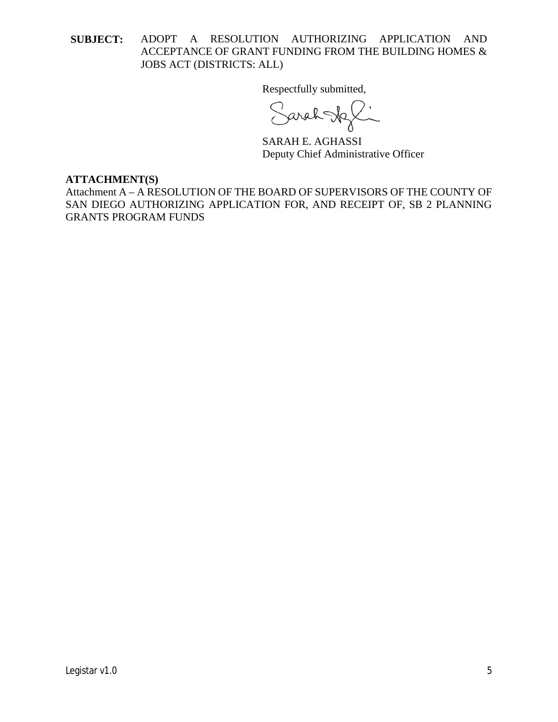Respectfully submitted,

Sarah Joli

SARAH E. AGHASSI Deputy Chief Administrative Officer

#### **ATTACHMENT(S)**

Attachment A – A RESOLUTION OF THE BOARD OF SUPERVISORS OF THE COUNTY OF SAN DIEGO AUTHORIZING APPLICATION FOR, AND RECEIPT OF, SB 2 PLANNING GRANTS PROGRAM FUNDS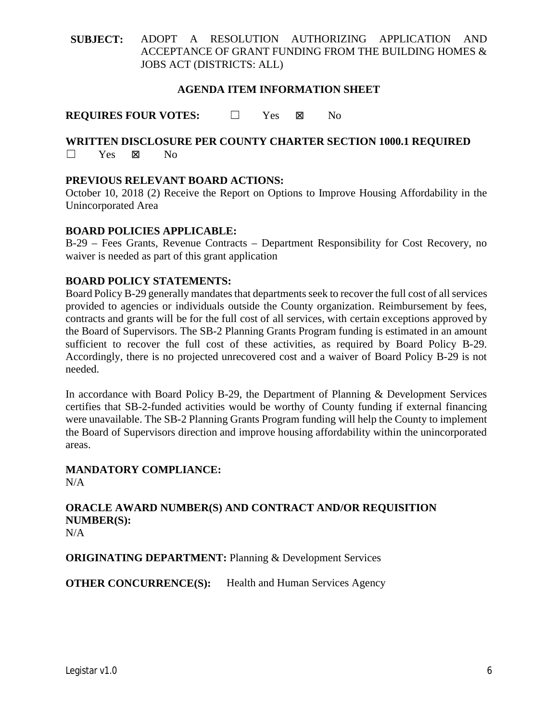## **AGENDA ITEM INFORMATION SHEET**

**REQUIRES FOUR VOTES:** □ Yes No

## **WRITTEN DISCLOSURE PER COUNTY CHARTER SECTION 1000.1 REQUIRED** ☐ Yes No

## **PREVIOUS RELEVANT BOARD ACTIONS:**

October 10, 2018 (2) Receive the Report on Options to Improve Housing Affordability in the Unincorporated Area

## **BOARD POLICIES APPLICABLE:**

B-29 – Fees Grants, Revenue Contracts – Department Responsibility for Cost Recovery, no waiver is needed as part of this grant application

#### **BOARD POLICY STATEMENTS:**

Board Policy B-29 generally mandates that departments seek to recover the full cost of all services provided to agencies or individuals outside the County organization. Reimbursement by fees, contracts and grants will be for the full cost of all services, with certain exceptions approved by the Board of Supervisors. The SB-2 Planning Grants Program funding is estimated in an amount sufficient to recover the full cost of these activities, as required by Board Policy B-29. Accordingly, there is no projected unrecovered cost and a waiver of Board Policy B-29 is not needed.

In accordance with Board Policy B-29, the Department of Planning & Development Services certifies that SB-2-funded activities would be worthy of County funding if external financing were unavailable. The SB-2 Planning Grants Program funding will help the County to implement the Board of Supervisors direction and improve housing affordability within the unincorporated areas.

#### **MANDATORY COMPLIANCE:**  $N/A$

#### **ORACLE AWARD NUMBER(S) AND CONTRACT AND/OR REQUISITION NUMBER(S):**  $N/A$

**ORIGINATING DEPARTMENT:** Planning & Development Services

**OTHER CONCURRENCE(S):** Health and Human Services Agency